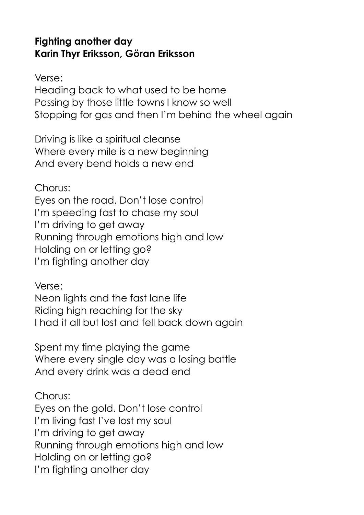## **Fighting another day Karin Thyr Eriksson, Göran Eriksson**

Verse:

Heading back to what used to be home Passing by those little towns I know so well Stopping for gas and then I'm behind the wheel again

Driving is like a spiritual cleanse Where every mile is a new beginning And every bend holds a new end

Chorus: Eyes on the road. Don't lose control I'm speeding fast to chase my soul I'm driving to get away Running through emotions high and low Holding on or letting go? I'm fighting another day

Verse:

Neon lights and the fast lane life Riding high reaching for the sky I had it all but lost and fell back down again

Spent my time playing the game Where every single day was a losing battle And every drink was a dead end

Chorus: Eyes on the gold. Don't lose control I'm living fast I've lost my soul I'm driving to get away Running through emotions high and low Holding on or letting go? I'm fighting another day